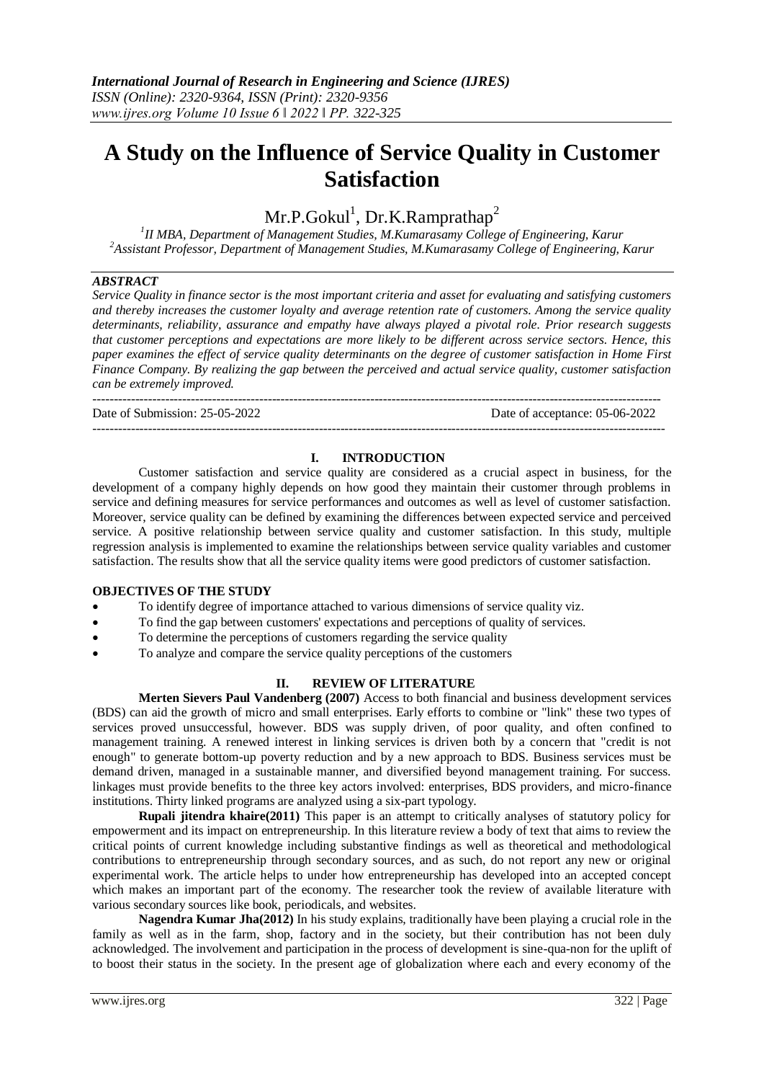# **A Study on the Influence of Service Quality in Customer Satisfaction**

Mr.P.Gokul<sup>1</sup>, Dr.K.Ramprathap<sup>2</sup>

*1 II MBA, Department of Management Studies, M.Kumarasamy College of Engineering, Karur <sup>2</sup>Assistant Professor, Department of Management Studies, M.Kumarasamy College of Engineering, Karur*

## *ABSTRACT*

*Service Quality in finance sector is the most important criteria and asset for evaluating and satisfying customers and thereby increases the customer loyalty and average retention rate of customers. Among the service quality determinants, reliability, assurance and empathy have always played a pivotal role. Prior research suggests that customer perceptions and expectations are more likely to be different across service sectors. Hence, this paper examines the effect of service quality determinants on the degree of customer satisfaction in Home First Finance Company. By realizing the gap between the perceived and actual service quality, customer satisfaction can be extremely improved.*

Date of Submission: 25-05-2022 Date of acceptance: 05-06-2022

## **I. INTRODUCTION**

--------------------------------------------------------------------------------------------------------------------------------------

Customer satisfaction and service quality are considered as a crucial aspect in business, for the development of a company highly depends on how good they maintain their customer through problems in service and defining measures for service performances and outcomes as well as level of customer satisfaction. Moreover, service quality can be defined by examining the differences between expected service and perceived service. A positive relationship between service quality and customer satisfaction. In this study, multiple regression analysis is implemented to examine the relationships between service quality variables and customer satisfaction. The results show that all the service quality items were good predictors of customer satisfaction.

#### **OBJECTIVES OF THE STUDY**

- To identify degree of importance attached to various dimensions of service quality viz.
- To find the gap between customers' expectations and perceptions of quality of services.
- To determine the perceptions of customers regarding the service quality

-------------------------------------------------------------------------------------------------------------------------------------

To analyze and compare the service quality perceptions of the customers

## **II. REVIEW OF LITERATURE**

**Merten Sievers Paul Vandenberg (2007)** Access to both financial and business development services (BDS) can aid the growth of micro and small enterprises. Early efforts to combine or "link" these two types of services proved unsuccessful, however. BDS was supply driven, of poor quality, and often confined to management training. A renewed interest in linking services is driven both by a concern that "credit is not enough" to generate bottom-up poverty reduction and by a new approach to BDS. Business services must be demand driven, managed in a sustainable manner, and diversified beyond management training. For success. linkages must provide benefits to the three key actors involved: enterprises, BDS providers, and micro-finance institutions. Thirty linked programs are analyzed using a six-part typology.

**Rupali jitendra khaire(2011)** This paper is an attempt to critically analyses of statutory policy for empowerment and its impact on entrepreneurship. In this literature review a body of text that aims to review the critical points of current knowledge including substantive findings as well as theoretical and methodological contributions to entrepreneurship through secondary sources, and as such, do not report any new or original experimental work. The article helps to under how entrepreneurship has developed into an accepted concept which makes an important part of the economy. The researcher took the review of available literature with various secondary sources like book, periodicals, and websites.

**Nagendra Kumar Jha(2012)** In his study explains, traditionally have been playing a crucial role in the family as well as in the farm, shop, factory and in the society, but their contribution has not been duly acknowledged. The involvement and participation in the process of development is sine-qua-non for the uplift of to boost their status in the society. In the present age of globalization where each and every economy of the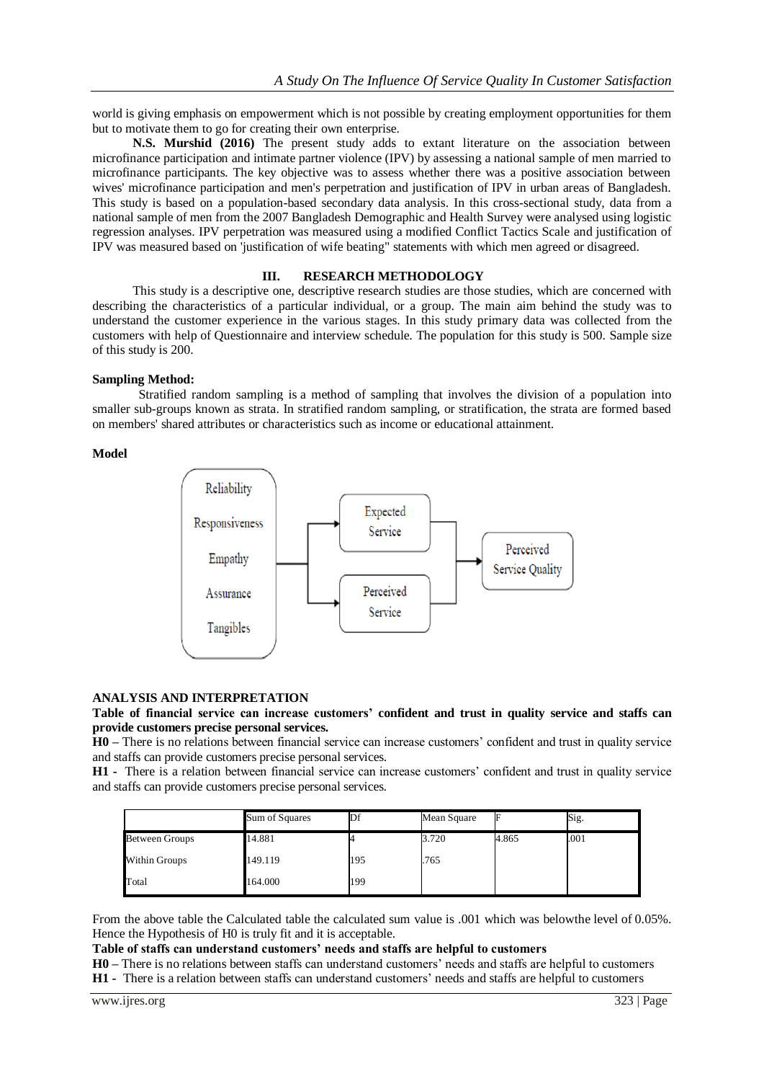world is giving emphasis on empowerment which is not possible by creating employment opportunities for them but to motivate them to go for creating their own enterprise.

**N.S. Murshid (2016)** The present study adds to extant literature on the association between microfinance participation and intimate partner violence (IPV) by assessing a national sample of men married to microfinance participants. The key objective was to assess whether there was a positive association between wives' microfinance participation and men's perpetration and justification of IPV in urban areas of Bangladesh. This study is based on a population-based secondary data analysis. In this cross-sectional study, data from a national sample of men from the 2007 Bangladesh Demographic and Health Survey were analysed using logistic regression analyses. IPV perpetration was measured using a modified Conflict Tactics Scale and justification of IPV was measured based on 'justification of wife beating" statements with which men agreed or disagreed.

#### **III. RESEARCH METHODOLOGY**

This study is a descriptive one, descriptive research studies are those studies, which are concerned with describing the characteristics of a particular individual, or a group. The main aim behind the study was to understand the customer experience in the various stages. In this study primary data was collected from the customers with help of Questionnaire and interview schedule. The population for this study is 500. Sample size of this study is 200.

#### **Sampling Method:**

Stratified random sampling is a method of sampling that involves the division of a population into smaller sub-groups known as strata. In stratified random sampling, or stratification, the strata are formed based on members' shared attributes or characteristics such as income or educational attainment.

#### **Model**



#### **ANALYSIS AND INTERPRETATION**

### **Table of financial service can increase customers' confident and trust in quality service and staffs can provide customers precise personal services.**

**H0 –** There is no relations between financial service can increase customers' confident and trust in quality service and staffs can provide customers precise personal services.

**H1 -** There is a relation between financial service can increase customers' confident and trust in quality service and staffs can provide customers precise personal services.

|                       | Sum of Squares | $\mathbb{D}$ f | Mean Square |       | Sig. |
|-----------------------|----------------|----------------|-------------|-------|------|
| <b>Between Groups</b> | 14.881         |                | 3.720       | 4.865 | .001 |
| Within Groups         | 149.119        | 195            | .765        |       |      |
| Total                 | 164.000        | 199            |             |       |      |

From the above table the Calculated table the calculated sum value is .001 which was belowthe level of 0.05%. Hence the Hypothesis of H0 is truly fit and it is acceptable.

## **Table of staffs can understand customers' needs and staffs are helpful to customers**

**H0 –** There is no relations between staffs can understand customers' needs and staffs are helpful to customers **H1 -** There is a relation between staffs can understand customers' needs and staffs are helpful to customers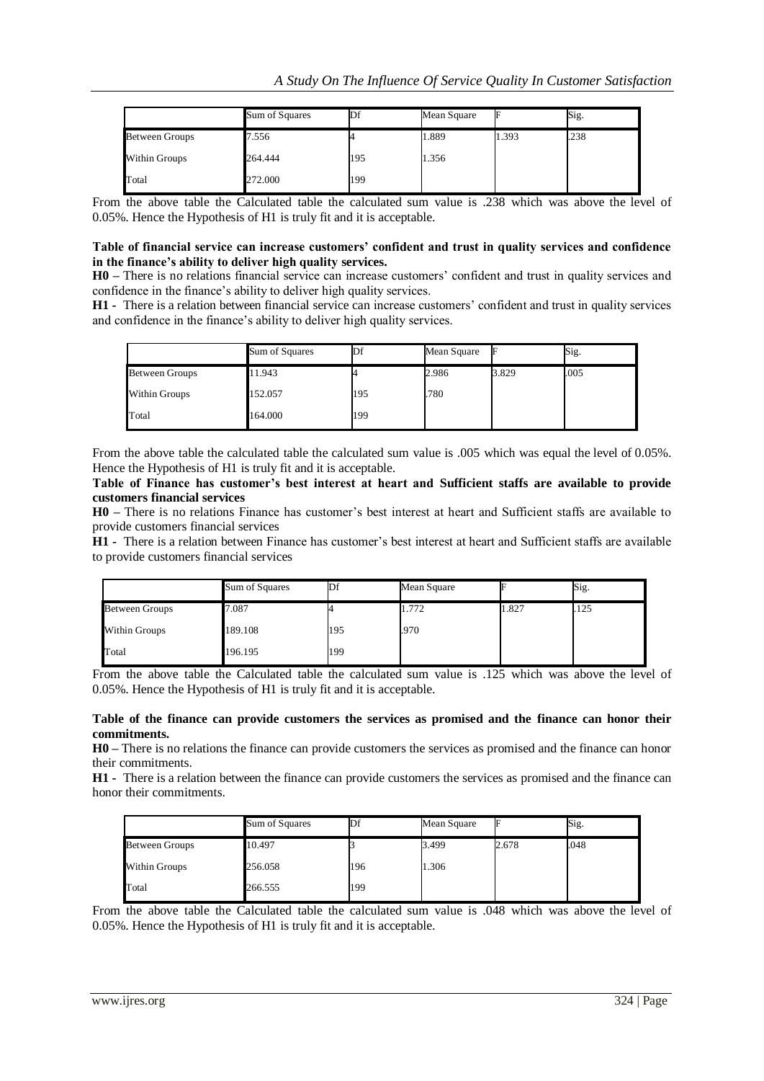|                       | Sum of Squares | Шt  | Mean Square | F     | Sig. |
|-----------------------|----------------|-----|-------------|-------|------|
| <b>Between Groups</b> | 7.556          |     | 1.889       | 1.393 | .238 |
| Within Groups         | 264.444        | 195 | 1.356       |       |      |
| Total                 | 272.000        | 199 |             |       |      |

From the above table the Calculated table the calculated sum value is .238 which was above the level of 0.05%. Hence the Hypothesis of H1 is truly fit and it is acceptable.

#### **Table of financial service can increase customers' confident and trust in quality services and confidence in the finance's ability to deliver high quality services.**

**H0 –** There is no relations financial service can increase customers' confident and trust in quality services and confidence in the finance's ability to deliver high quality services.

**H1 -** There is a relation between financial service can increase customers' confident and trust in quality services and confidence in the finance's ability to deliver high quality services.

|                       | Sum of Squares | Df  | Mean Square | F     | Sig. |
|-----------------------|----------------|-----|-------------|-------|------|
| <b>Between Groups</b> | 11.943         |     | 2.986       | 3.829 | .005 |
| Within Groups         | 152.057        | 195 | .780        |       |      |
| Total                 | 164.000        | 199 |             |       |      |

From the above table the calculated table the calculated sum value is .005 which was equal the level of 0.05%. Hence the Hypothesis of H1 is truly fit and it is acceptable.

**Table of Finance has customer's best interest at heart and Sufficient staffs are available to provide customers financial services**

**H0 –** There is no relations Finance has customer's best interest at heart and Sufficient staffs are available to provide customers financial services

**H1 -** There is a relation between Finance has customer's best interest at heart and Sufficient staffs are available to provide customers financial services

|                       | Sum of Squares | Df  | Mean Square |       | Sig. |
|-----------------------|----------------|-----|-------------|-------|------|
| <b>Between Groups</b> | 7.087          |     | 1.772       | 1.827 | 125  |
| Within Groups         | 189.108        | 195 | .970        |       |      |
| Total                 | 196.195        | 199 |             |       |      |

From the above table the Calculated table the calculated sum value is .125 which was above the level of 0.05%. Hence the Hypothesis of H1 is truly fit and it is acceptable.

#### **Table of the finance can provide customers the services as promised and the finance can honor their commitments.**

**H0 –** There is no relations the finance can provide customers the services as promised and the finance can honor their commitments.

**H1 -** There is a relation between the finance can provide customers the services as promised and the finance can honor their commitments.

|                       | Sum of Squares | Df  | Mean Square |       | Sig. |
|-----------------------|----------------|-----|-------------|-------|------|
| <b>Between Groups</b> | 10.497         |     | 3.499       | 2.678 | .048 |
| <b>Within Groups</b>  | 256.058        | 196 | 1.306       |       |      |
| Total                 | 266.555        | 199 |             |       |      |

From the above table the Calculated table the calculated sum value is .048 which was above the level of 0.05%. Hence the Hypothesis of H1 is truly fit and it is acceptable.